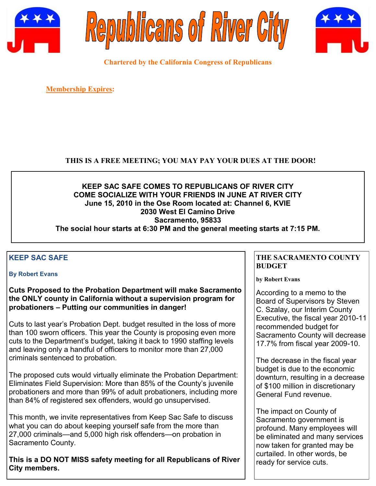





**Chartered by the California Congress of Republicans**

**Membership Expires:** 

## **THIS IS A FREE MEETING; YOU MAY PAY YOUR DUES AT THE DOOR!**

#### **KEEP SAC SAFE COMES TO REPUBLICANS OF RIVER CITY COME SOCIALIZE WITH YOUR FRIENDS IN JUNE AT RIVER CITY June 15, 2010 in the Ose Room located at: Channel 6, KVIE 2030 West El Camino Drive Sacramento, 95833 The social hour starts at 6:30 PM and the general meeting starts at 7:15 PM.**

# **KEEP SAC SAFE**

#### **By Robert Evans**

#### **Cuts Proposed to the Probation Department will make Sacramento the ONLY county in California without a supervision program for probationers – Putting our communities in danger!**

Cuts to last year's Probation Dept. budget resulted in the loss of more than 100 sworn officers. This year the County is proposing even more cuts to the Department's budget, taking it back to 1990 staffing levels and leaving only a handful of officers to monitor more than 27,000 criminals sentenced to probation.

The proposed cuts would virtually eliminate the Probation Department: Eliminates Field Supervision: More than 85% of the County's juvenile probationers and more than 99% of adult probationers, including more than 84% of registered sex offenders, would go unsupervised.

This month, we invite representatives from Keep Sac Safe to discuss what you can do about keeping yourself safe from the more than 27,000 criminals—and 5,000 high risk offenders—on probation in Sacramento County.

**This is a DO NOT MISS safety meeting for all Republicans of River City members.**

### **THE SACRAMENTO COUNTY BUDGET**

**by Robert Evans**

According to a memo to the Board of Supervisors by Steven C. Szalay, our Interim County Executive, the fiscal year 2010-11 recommended budget for Sacramento County will decrease 17.7% from fiscal year 2009-10.

The decrease in the fiscal year budget is due to the economic downturn, resulting in a decrease of \$100 million in discretionary General Fund revenue.

The impact on County of Sacramento government is profound. Many employees will be eliminated and many services now taken for granted may be curtailed. In other words, be ready for service cuts.